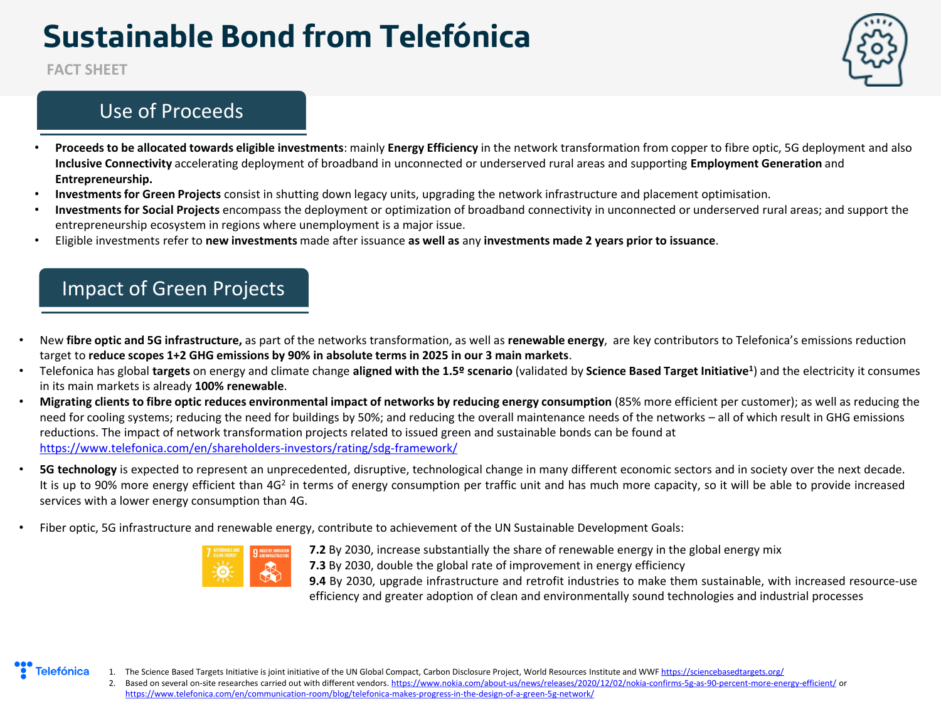# **Sustainable Bond from Telefónica**

**FACT SHEET**

#### Use of Proceeds

- 
- **Proceeds to be allocated towards eligible investments**: mainly **Energy Efficiency** in the network transformation from copper to fibre optic, 5G deployment and also **Inclusive Connectivity** accelerating deployment of broadband in unconnected or underserved rural areas and supporting **Employment Generation** and **Entrepreneurship.**
- **Investments for Green Projects** consist in shutting down legacy units, upgrading the network infrastructure and placement optimisation.
- **Investments for Social Projects** encompass the deployment or optimization of broadband connectivity in unconnected or underserved rural areas; and support the entrepreneurship ecosystem in regions where unemployment is a major issue.
- Eligible investments refer to **new investments** made after issuance **as well as** any **investments made 2 years prior to issuance**.

## Impact of Green Projects

- New **fibre optic and 5G infrastructure,** as part of the networks transformation, as well as **renewable energy**, are key contributors to Telefonica's emissions reduction target to **reduce scopes 1+2 GHG emissions by 90% in absolute terms in 2025 in our 3 main markets**.
- Telefonica has global **targets** on energy and climate change **aligned with the 1.5º scenario** (validated by **Science Based Target Initiative<sup>1</sup>** ) and the electricity it consumes in its main markets is already **100% renewable**.
- **Migrating clients to fibre optic reduces environmental impact of networks by reducing energy consumption** (85% more efficient per customer); as well as reducing the need for cooling systems; reducing the need for buildings by 50%; and reducing the overall maintenance needs of the networks – all of which result in GHG emissions reductions. The impact of network transformation projects related to issued green and sustainable bonds can be found at <https://www.telefonica.com/en/shareholders-investors/rating/sdg-framework/>
- **5G technology** is expected to represent an unprecedented, disruptive, technological change in many different economic sectors and in society over the next decade. It is up to 90% more energy efficient than 4G<sup>2</sup> in terms of energy consumption per traffic unit and has much more capacity, so it will be able to provide increased services with a lower energy consumption than 4G.
- Fiber optic, 5G infrastructure and renewable energy, contribute to achievement of the UN Sustainable Development Goals:



**7.2** By 2030, increase substantially the share of renewable energy in the global energy mix **7.3** By 2030, double the global rate of improvement in energy efficiency

**9.4** By 2030, upgrade infrastructure and retrofit industries to make them sustainable, with increased resource-use efficiency and greater adoption of clean and environmentally sound technologies and industrial processes



1. The Science Based Targets Initiative is joint initiative of the UN Global Compact, Carbon Disclosure Project, World Resources Institute and WWF <https://sciencebasedtargets.org/>

2. Based on several on-site researches carried out with different vendors. <https://www.nokia.com/about-us/news/releases/2020/12/02/nokia-confirms-5g-as-90-percent-more-energy-efficient/> or <https://www.telefonica.com/en/communication-room/blog/telefonica-makes-progress-in-the-design-of-a-green-5g-network/>